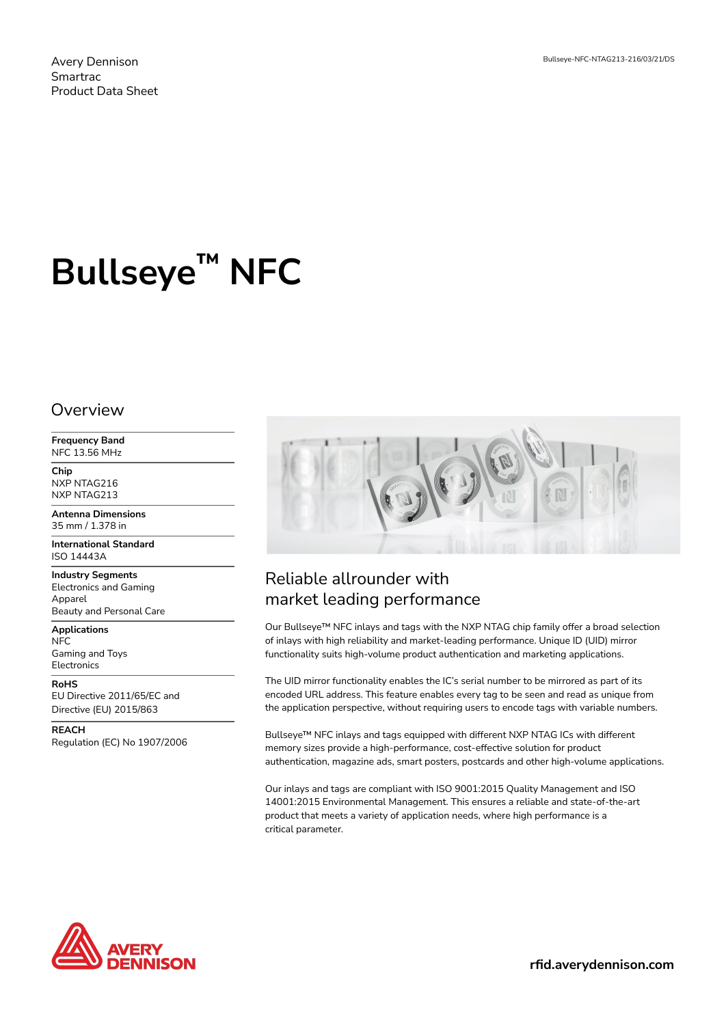Avery Dennison Smartrac Product Data Sheet

# **Bullseye™ NFC**

#### Overview

**Frequency Band** NFC 13.56 MHz

**Chip** NXP NTAG216 NXP NTAG213

**Antenna Dimensions** 35 mm / 1.378 in

**International Standard** ISO 14443A

**Industry Segments** Electronics and Gaming Apparel Beauty and Personal Care

**Applications** NFC Gaming and Toys Electronics

**RoHS** EU Directive 2011/65/EC and Directive (EU) 2015/863

**REACH** Regulation (EC) No 1907/2006



## Reliable allrounder with market leading performance

Our Bullseye™ NFC inlays and tags with the NXP NTAG chip family offer a broad selection of inlays with high reliability and market-leading performance. Unique ID (UID) mirror functionality suits high-volume product authentication and marketing applications.

The UID mirror functionality enables the IC's serial number to be mirrored as part of its encoded URL address. This feature enables every tag to be seen and read as unique from the application perspective, without requiring users to encode tags with variable numbers.

Bullseye™ NFC inlays and tags equipped with different NXP NTAG ICs with different memory sizes provide a high-performance, cost-effective solution for product authentication, magazine ads, smart posters, postcards and other high-volume applications.

Our inlays and tags are compliant with ISO 9001:2015 Quality Management and ISO 14001:2015 Environmental Management. This ensures a reliable and state-of-the-art product that meets a variety of application needs, where high performance is a critical parameter.